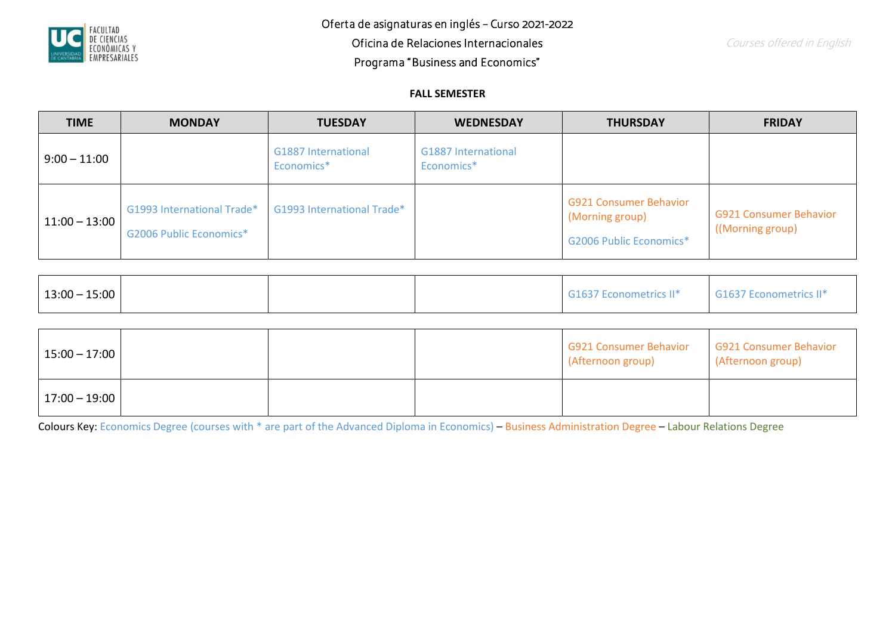

## **FALL SEMESTER**

| <b>TIME</b>      | <b>MONDAY</b>                                         | <b>TUESDAY</b>                           | <b>WEDNESDAY</b>                         | <b>THURSDAY</b>                                                                    | <b>FRIDAY</b>                                    |
|------------------|-------------------------------------------------------|------------------------------------------|------------------------------------------|------------------------------------------------------------------------------------|--------------------------------------------------|
| $ 9:00 - 11:00 $ |                                                       | <b>G1887 International</b><br>Economics* | <b>G1887 International</b><br>Economics* |                                                                                    |                                                  |
| $11:00 - 13:00$  | G1993 International Trade*<br>G2006 Public Economics* | G1993 International Trade*               |                                          | <b>G921 Consumer Behavior</b><br>(Morning group)<br><b>G2006 Public Economics*</b> | <b>G921 Consumer Behavior</b><br>(Morning group) |

| $13:00 - 15:00$ |  | G1637 Econometrics II* | G1637 Econometrics II* |
|-----------------|--|------------------------|------------------------|
|                 |  |                        |                        |

| $15:00 - 17:00$ |  | <b>G921 Consumer Behavior</b><br>(Afternoon group) | <b>G921 Consumer Behavior</b><br>(Afternoon group) |
|-----------------|--|----------------------------------------------------|----------------------------------------------------|
| $17:00 - 19:00$ |  |                                                    |                                                    |

Colours Key: Economics Degree (courses with \* are part of the Advanced Diploma in Economics) – Business Administration Degree – Labour Relations Degree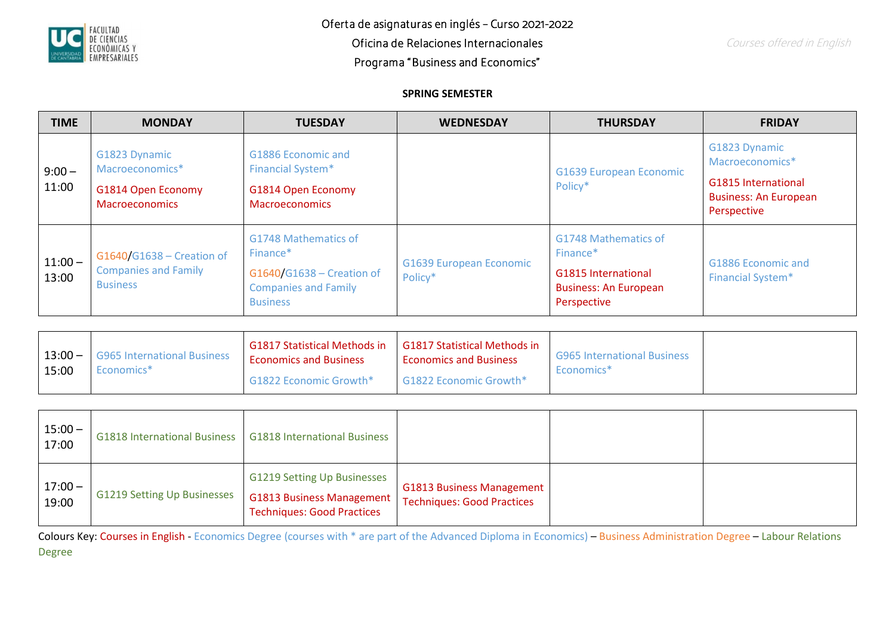

## **SPRING SEMESTER**

| <b>TIME</b>        | <b>MONDAY</b>                                                                   | <b>TUESDAY</b>                                                                                                              | <b>WEDNESDAY</b>                          | <b>THURSDAY</b>                                                                                               | <b>FRIDAY</b>                                                                                                 |
|--------------------|---------------------------------------------------------------------------------|-----------------------------------------------------------------------------------------------------------------------------|-------------------------------------------|---------------------------------------------------------------------------------------------------------------|---------------------------------------------------------------------------------------------------------------|
| $9:00 -$<br>11:00  | G1823 Dynamic<br>Macroeconomics*<br>G1814 Open Economy<br><b>Macroeconomics</b> | G1886 Economic and<br><b>Financial System*</b><br>G1814 Open Economy<br><b>Macroeconomics</b>                               |                                           | <b>G1639 European Economic</b><br>Policy*                                                                     | G1823 Dynamic<br>Macroeconomics*<br><b>G1815 International</b><br><b>Business: An European</b><br>Perspective |
| $11:00 -$<br>13:00 | $G1640/G1638 -$ Creation of<br><b>Companies and Family</b><br><b>Business</b>   | G1748 Mathematics of<br>Finance <sup>*</sup><br>G1640/G1638 - Creation of<br><b>Companies and Family</b><br><b>Business</b> | <b>G1639 European Economic</b><br>Policy* | G1748 Mathematics of<br>Finance*<br><b>G1815 International</b><br><b>Business: An European</b><br>Perspective | G1886 Economic and<br><b>Financial System*</b>                                                                |

| G1817 Statistical Methods in<br>G1817 Statistical Methods in<br>$13:00 -$<br><b>G965 International Business</b><br><b>Economics and Business</b><br><b>Economics and Business</b><br>15:00<br>Economics <sup>*</sup><br>$\sim$ G1822 Economic Growth*<br>G1822 Economic Growth* | <b>G965 International Business</b><br>Economics <sup>*</sup> |
|---------------------------------------------------------------------------------------------------------------------------------------------------------------------------------------------------------------------------------------------------------------------------------|--------------------------------------------------------------|
|---------------------------------------------------------------------------------------------------------------------------------------------------------------------------------------------------------------------------------------------------------------------------------|--------------------------------------------------------------|

| $15:00 -$<br>17:00 | <b>G1818 International Business</b> | <b>G1818 International Business</b>                                                                         |                                                                       |  |
|--------------------|-------------------------------------|-------------------------------------------------------------------------------------------------------------|-----------------------------------------------------------------------|--|
| $17:00 -$<br>19:00 | <b>G1219 Setting Up Businesses</b>  | <b>G1219 Setting Up Businesses</b><br><b>G1813 Business Management</b><br><b>Techniques: Good Practices</b> | <b>G1813 Business Management</b><br><b>Techniques: Good Practices</b> |  |

Colours Key: Courses in English - Economics Degree (courses with \* are part of the Advanced Diploma in Economics) – Business Administration Degree – Labour Relations Degree